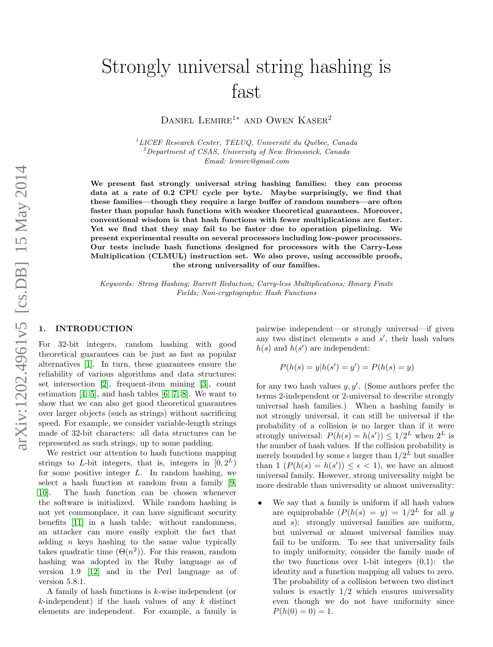# Strongly universal string hashing is fast

DANIEL LEMIRE<sup>1</sup><sup>\*</sup> AND OWEN KASER<sup>2</sup>

 $1^1$ LICEF Research Center, TELUQ, Université du Québec, Canada  $^{2}$ Department of CSAS, University of New Brunswick, Canada Email: lemire@gmail.com

We present fast strongly universal string hashing families: they can process data at a rate of 0.2 CPU cycle per byte. Maybe surprisingly, we find that these families—though they require a large buffer of random numbers—are often faster than popular hash functions with weaker theoretical guarantees. Moreover, conventional wisdom is that hash functions with fewer multiplications are faster. Yet we find that they may fail to be faster due to operation pipelining. We present experimental results on several processors including low-power processors. Our tests include hash functions designed for processors with the Carry-Less Multiplication (CLMUL) instruction set. We also prove, using accessible proofs, the strong universality of our families.

Keywords: String Hashing; Barrett Reduction; Carry-less Multiplications; Binary Finite Fields; Non-cryptographic Hash Functions

## 1. INTRODUCTION

For 32-bit integers, random hashing with good theoretical guarantees can be just as fast as popular alternatives [\[1\]](#page-11-0). In turn, these guarantees ensure the reliability of various algorithms and data structures: set intersection [\[2\]](#page-11-1), frequent-item mining [\[3\]](#page-12-0), count estimation  $[4, 5]$  $[4, 5]$ , and hash tables  $[6, 7, 8]$  $[6, 7, 8]$  $[6, 7, 8]$ . We want to show that we can also get good theoretical guarantees over larger objects (such as strings) without sacrificing speed. For example, we consider variable-length strings made of 32-bit characters: all data structures can be represented as such strings, up to some padding.

We restrict our attention to hash functions mapping strings to L-bit integers, that is, integers in  $[0, 2^L)$ for some positive integer  $L$ . In random hashing, we select a hash function at random from a family [\[9,](#page-12-6) [10\]](#page-12-7). The hash function can be chosen whenever the software is initialized. While random hashing is not yet commonplace, it can have significant security benefits [\[11\]](#page-12-8) in a hash table: without randomness, an attacker can more easily exploit the fact that adding  $n$  keys hashing to the same value typically takes quadratic time  $(\Theta(n^2))$ . For this reason, random hashing was adopted in the Ruby language as of version 1.9 [\[12\]](#page-12-9) and in the Perl language as of version 5.8.1.

A family of hash functions is k-wise independent (or  $k$ -independent) if the hash values of any  $k$  distinct elements are independent. For example, a family is pairwise independent—or strongly universal—if given any two distinct elements  $s$  and  $s'$ , their hash values  $h(s)$  and  $h(s')$  are independent:

$$
P(h(s) = y | h(s') = y') = P(h(s) = y)
$$

for any two hash values  $y, y'$ . (Some authors prefer the terms 2-independent or 2-universal to describe strongly universal hash families.) When a hashing family is not strongly universal, it can still be universal if the probability of a collision is no larger than if it were strongly universal:  $P(h(s) = h(s')) \leq 1/2^L$  when  $2^L$  is the number of hash values. If the collision probability is merely bounded by some  $\epsilon$  larger than  $1/2^L$  but smaller than 1  $(P(h(s) = h(s')) \leq \epsilon < 1)$ , we have an almost universal family. However, strong universality might be more desirable than universality or almost universality:

We say that a family is uniform if all hash values are equiprobable  $(P(h(s) = y) = 1/2^L$  for all y and s): strongly universal families are uniform, but universal or almost universal families may fail to be uniform. To see that universality fails to imply uniformity, consider the family made of the two functions over 1-bit integers  $(0,1)$ : the identity and a function mapping all values to zero. The probability of a collision between two distinct values is exactly  $1/2$  which ensures universality even though we do not have uniformity since  $P(h(0) = 0) = 1.$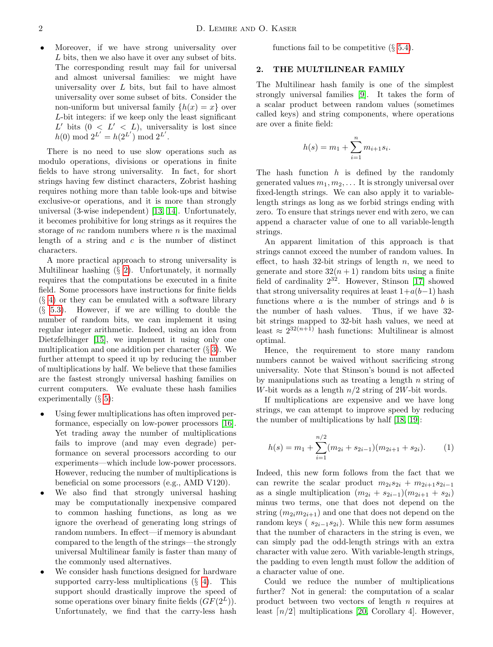• Moreover, if we have strong universality over L bits, then we also have it over any subset of bits. The corresponding result may fail for universal and almost universal families: we might have universality over  $L$  bits, but fail to have almost universality over some subset of bits. Consider the non-uniform but universal family  $\{h(x) = x\}$  over L-bit integers: if we keep only the least significant L' bits  $(0 \lt L' \lt L)$ , universality is lost since  $h(0) \bmod 2^{L'} = h(2^{L'}) \bmod 2^{L'}.$ 

There is no need to use slow operations such as modulo operations, divisions or operations in finite fields to have strong universality. In fact, for short strings having few distinct characters, Zobrist hashing requires nothing more than table look-ups and bitwise exclusive-or operations, and it is more than strongly universal (3-wise independent) [\[13,](#page-12-10) [14\]](#page-12-11). Unfortunately, it becomes prohibitive for long strings as it requires the storage of nc random numbers where  $n$  is the maximal length of a string and  $c$  is the number of distinct characters.

A more practical approach to strong universality is Multilinear hashing  $(\S 2)$  $(\S 2)$ . Unfortunately, it normally requires that the computations be executed in a finite field. Some processors have instructions for finite fields (§ [4\)](#page-6-0) or they can be emulated with a software library  $(\S$  [5.3\)](#page-8-0). However, if we are willing to double the number of random bits, we can implement it using regular integer arithmetic. Indeed, using an idea from Dietzfelbinger [\[15\]](#page-12-12), we implement it using only one multiplication and one addition per character  $(\S 3)$  $(\S 3)$ . We further attempt to speed it up by reducing the number of multiplications by half. We believe that these families are the fastest strongly universal hashing families on current computers. We evaluate these hash families experimentally  $(\S 5)$  $(\S 5)$ :

- Using fewer multiplications has often improved performance, especially on low-power processors [\[16\]](#page-12-13). Yet trading away the number of multiplications fails to improve (and may even degrade) performance on several processors according to our experiments—which include low-power processors. However, reducing the number of multiplications is beneficial on some processors (e.g., AMD V120).
- We also find that strongly universal hashing may be computationally inexpensive compared to common hashing functions, as long as we ignore the overhead of generating long strings of random numbers. In effect—if memory is abundant compared to the length of the strings—the strongly universal Multilinear family is faster than many of the commonly used alternatives.
- We consider hash functions designed for hardware supported carry-less multiplications  $(\S$  [4\)](#page-6-0). This support should drastically improve the speed of some operations over binary finite fields  $(GF(2^L))$ . Unfortunately, we find that the carry-less hash

functions fail to be competitive  $(\S 5.4)$  $(\S 5.4)$ .

#### <span id="page-1-0"></span>2. THE MULTILINEAR FAMILY

The Multilinear hash family is one of the simplest strongly universal families [\[9\]](#page-12-6). It takes the form of a scalar product between random values (sometimes called keys) and string components, where operations are over a finite field:

$$
h(s) = m_1 + \sum_{i=1}^{n} m_{i+1} s_i.
$$

The hash function  $h$  is defined by the randomly generated values  $m_1, m_2, \ldots$  It is strongly universal over fixed-length strings. We can also apply it to variablelength strings as long as we forbid strings ending with zero. To ensure that strings never end with zero, we can append a character value of one to all variable-length strings.

An apparent limitation of this approach is that strings cannot exceed the number of random values. In effect, to hash 32-bit strings of length  $n$ , we need to generate and store  $32(n + 1)$  random bits using a finite field of cardinality  $2^{32}$ . However, Stinson [\[17\]](#page-12-14) showed that strong universality requires at least  $1+a(b-1)$  hash functions where  $a$  is the number of strings and  $b$  is the number of hash values. Thus, if we have 32 bit strings mapped to 32-bit hash values, we need at least  $\approx 2^{32(n+1)}$  hash functions: Multilinear is almost optimal.

Hence, the requirement to store many random numbers cannot be waived without sacrificing strong universality. Note that Stinson's bound is not affected by manipulations such as treating a length  $n$  string of W-bit words as a length  $n/2$  string of 2W-bit words.

If multiplications are expensive and we have long strings, we can attempt to improve speed by reducing the number of multiplications by half [\[18,](#page-12-15) [19\]](#page-12-16):

<span id="page-1-1"></span>
$$
h(s) = m_1 + \sum_{i=1}^{n/2} (m_{2i} + s_{2i-1})(m_{2i+1} + s_{2i}).
$$
 (1)

Indeed, this new form follows from the fact that we can rewrite the scalar product  $m_{2i}s_{2i} + m_{2i+1}s_{2i-1}$ as a single multiplication  $(m_{2i} + s_{2i-1})(m_{2i+1} + s_{2i})$ minus two terms, one that does not depend on the string  $(m_{2i}m_{2i+1})$  and one that does not depend on the random keys ( $s_{2i-1}s_{2i}$ ). While this new form assumes that the number of characters in the string is even, we can simply pad the odd-length strings with an extra character with value zero. With variable-length strings, the padding to even length must follow the addition of a character value of one.

Could we reduce the number of multiplications further? Not in general: the computation of a scalar product between two vectors of length n requires at least  $\lceil n/2 \rceil$  multiplications [\[20,](#page-12-17) Corollary 4]. However,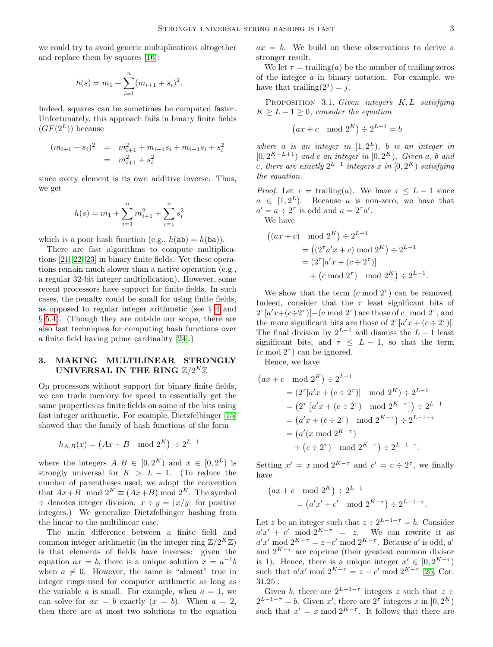we could try to avoid generic multiplications altogether and replace them by squares [\[16\]](#page-12-13):

$$
h(s) = m_1 + \sum_{i=1}^{n} (m_{i+1} + s_i)^2.
$$

Indeed, squares can be sometimes be computed faster. Unfortunately, this approach fails in binary finite fields  $(GF(2^L))$  because

$$
(m_{i+1} + s_i)^2 = m_{i+1}^2 + m_{i+1}s_i + m_{i+1}s_i + s_i^2
$$
  
=  $m_{i+1}^2 + s_i^2$ 

since every element is its own additive inverse. Thus, we get

$$
h(s) = m_1 + \sum_{i=1}^{n} m_{i+1}^2 + \sum_{i=1}^{n} s_i^2
$$

which is a poor hash function (e.g.,  $h(ab) = h(ba)$ ).

There are fast algorithms to compute multiplications [\[21,](#page-12-18) [22,](#page-12-19) [23\]](#page-12-20) in binary finite fields. Yet these operations remain much slower than a native operation (e.g., a regular 32-bit integer multiplication). However, some recent processors have support for finite fields. In such cases, the penalty could be small for using finite fields, as opposed to regular integer arithmetic (see § [4](#page-6-0) and § [5.4\)](#page-8-1). (Though they are outside our scope, there are also fast techniques for computing hash functions over a finite field having prime cardinality [\[24\]](#page-12-21).)

# <span id="page-2-0"></span>3. MAKING MULTILINEAR STRONGLY UNIVERSAL IN THE RING  $\mathbb{Z}/2^K \mathbb{Z}$

On processors without support for binary finite fields, we can trade memory for speed to essentially get the same properties as finite fields on some of the bits using fast integer arithmetic. For example, Dietzfelbinger [\[15\]](#page-12-12) showed that the family of hash functions of the form

$$
h_{A,B}(x) = \begin{pmatrix} Ax + B & \text{mod } 2^K \end{pmatrix} \div 2^{L-1}
$$

where the integers  $A, B \in [0, 2^K)$  and  $x \in [0, 2^L)$  is strongly universal for  $K > L - 1$ . (To reduce the number of parentheses used, we adopt the convention that  $Ax+B \mod 2^K \equiv (Ax+B) \mod 2^K$ . The symbol  $\div$  denotes integer division:  $x \div y = |x/y|$  for positive integers.) We generalize Dietzfelbinger hashing from the linear to the multilinear case.

The main difference between a finite field and common integer arithmetic (in the integer ring  $\mathbb{Z}/2^K\mathbb{Z}$ ) is that elements of fields have inverses: given the equation  $ax = b$ , there is a unique solution  $x = a^{-1}b$ when  $a \neq 0$ . However, the same is "almost" true in integer rings used for computer arithmetic as long as the variable a is small. For example, when  $a = 1$ , we can solve for  $ax = b$  exactly  $(x = b)$ . When  $a = 2$ , then there are at most two solutions to the equation

 $ax = b$ . We build on these observations to derive a stronger result.

We let  $\tau = \text{training}(a)$  be the number of trailing zeros of the integer a in binary notation. For example, we have that trailing $(2^j) = j$ .

<span id="page-2-1"></span>PROPOSITION 3.1. Given integers  $K, L$  satisfying  $K \geq L - 1 \geq 0$ , consider the equation

$$
(ax+c \mod 2^K) \div 2^{L-1} = b
$$

where a is an integer in  $[1, 2^L)$ , b is an integer in  $[0, 2^{K-L+1})$  and c an integer in  $[0, 2^K)$ . Given a, b and c, there are exactly  $2^{L-1}$  integers x in  $[0, 2^K)$  satisfying the equation.

*Proof.* Let  $\tau = \text{training}(a)$ . We have  $\tau \leq L - 1$  since  $a \in [1, 2^L)$ . Because a is non-zero, we have that  $a' = a \div 2^{\tau}$  is odd and  $a = 2^{\tau} a'$ .

We have

$$
((ax + c) \mod 2^{K}) \div 2^{L-1}
$$
  
=  $((2^{\tau} a' x + c) \mod 2^{K}) \div 2^{L-1}$   
=  $(2^{\tau} [a' x + (c \div 2^{\tau})]$   
+  $(c \mod 2^{\tau}) \mod 2^{K}) \div 2^{L-1}$ .

We show that the term  $(c \mod 2^{\tau})$  can be removed. Indeed, consider that the  $\tau$  least significant bits of  $2^{\tau}[a'x + (c \div 2^{\tau})] + (c \mod 2^{\tau})$  are those of c mod  $2^{\tau}$ , and the more significant bits are those of  $2^{\tau}[a'x + (c \div 2^{\tau})]$ . The final division by  $2^{L-1}$  will dismiss the  $L-1$  least significant bits, and  $\tau \leq L - 1$ , so that the term  $(c \mod 2^{\tau})$  can be ignored.

Hence, we have

$$
(ax + c \mod 2^{K}) \div 2^{L-1}
$$
  
=  $(2^{\tau}[a'x + (c \div 2^{\tau})] \mod 2^{K}) \div 2^{L-1}$   
=  $(2^{\tau}[a'x + (c \div 2^{\tau}) \mod 2^{K-\tau}]) \div 2^{L-1}$   
=  $(a'x + (c \div 2^{\tau}) \mod 2^{K-\tau}) \div 2^{L-1-\tau}$   
=  $(a'(x \mod 2^{K-\tau}) + (c \div 2^{\tau}) \mod 2^{K-\tau}) \div 2^{L-1-\tau}.$ 

Setting  $x' = x \mod 2^{K-\tau}$  and  $c' = c \div 2^{\tau}$ , we finally have

$$
(ax + c \mod 2^K) \div 2^{L-1}
$$
  
=  $(a'x' + c' \mod 2^{K-\tau}) \div 2^{L-1-\tau}$ .

Let z be an integer such that  $z \div 2^{L-1-\tau} = b$ . Consider  $a'x' + c' \mod 2^{K-\tau} = z$ . We can rewrite it as  $a'x' \bmod 2^{K-\tau} = z-c' \bmod 2^{K-\tau}$ . Because a' is odd, a' and  $2^{K-\tau}$  are coprime (their greatest common divisor is 1). Hence, there is a unique integer  $x' \in [0, 2^{K-\tau})$ such that  $a'x' \bmod 2^{K-\tau} = z - c' \bmod 2^{K-\tau}$  [\[25,](#page-12-22) Cor. 31.25].

Given b, there are  $2^{L-1-\tau}$  integers z such that  $z \div$  $2^{L-1-\tau} = b$ . Given x', there are  $2^{\tau}$  integers x in  $[0, 2^{K}]$ such that  $x' = x \mod 2^{K-\tau}$ . It follows that there are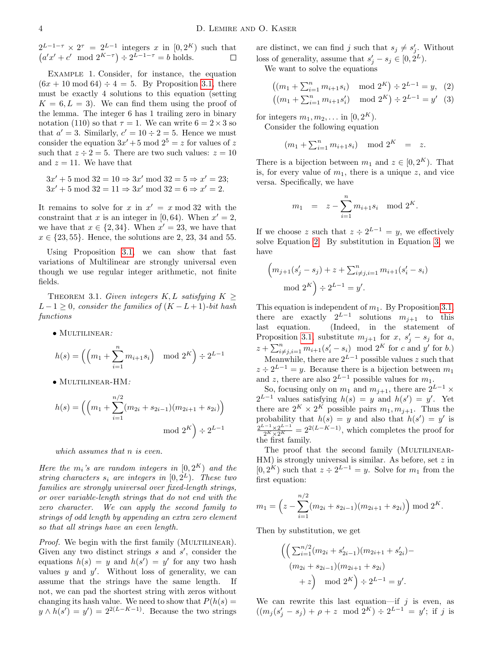$2^{L-1-\tau} \times 2^{\tau} = 2^{L-1}$  integers x in  $[0, 2^{K})$  such that  $(a'x' + c' \mod 2^{K-\tau}) \div 2^{L-1-\tau} = b$  holds.  $\Box$ 

Example 1. Consider, for instance, the equation  $(6x + 10 \mod 64) \div 4 = 5$ . By Proposition [3.1,](#page-2-1) there must be exactly 4 solutions to this equation (setting  $K = 6, L = 3$ . We can find them using the proof of the lemma. The integer 6 has 1 trailing zero in binary notation (110) so that  $\tau = 1$ . We can write  $6 = 2 \times 3$  so that  $a' = 3$ . Similarly,  $c' = 10 \div 2 = 5$ . Hence we must consider the equation  $3x' + 5 \mod 2^5 = z$  for values of z such that  $z \div 2 = 5$ . There are two such values:  $z = 10$ and  $z = 11$ . We have that

 $3x' + 5 \mod 32 = 10 \Rightarrow 3x' \mod 32 = 5 \Rightarrow x' = 23;$  $3x' + 5 \mod 32 = 11 \Rightarrow 3x' \mod 32 = 6 \Rightarrow x' = 2.$ 

It remains to solve for x in  $x' = x \mod 32$  with the constraint that x is an integer in [0, 64). When  $x' = 2$ , we have that  $x \in \{2, 34\}$ . When  $x' = 23$ , we have that  $x \in \{23, 55\}$ . Hence, the solutions are 2, 23, 34 and 55.

Using Proposition [3.1,](#page-2-1) we can show that fast variations of Multilinear are strongly universal even though we use regular integer arithmetic, not finite fields.

<span id="page-3-1"></span>THEOREM 3.1. Given integers  $K, L$  satisfying  $K \geq$  $L-1 \geq 0$ , consider the families of  $(K-L+1)$ -bit hash functions

• MULTILINEAR:

$$
h(s) = \left( \left( m_1 + \sum_{i=1}^n m_{i+1} s_i \right) \mod 2^K \right) \div 2^{L-1}
$$

• Multilinear-HM:

$$
h(s) = \left( \left( m_1 + \sum_{i=1}^{n/2} (m_{2i} + s_{2i-1})(m_{2i+1} + s_{2i}) \right) \mod 2^K \right) \div 2^{L-1}
$$
  
mod  $2^K$ 

which assumes that n is even.

Here the  $m_i$ 's are random integers in  $[0, 2^K)$  and the string characters  $s_i$  are integers in  $[0, 2^L)$ . These two families are strongly universal over fixed-length strings, or over variable-length strings that do not end with the zero character. We can apply the second family to strings of odd length by appending an extra zero element so that all strings have an even length.

Proof. We begin with the first family (MULTILINEAR). Given any two distinct strings  $s$  and  $s'$ , consider the equations  $h(s) = y$  and  $h(s') = y'$  for any two hash values  $y$  and  $y'$ . Without loss of generality, we can assume that the strings have the same length. not, we can pad the shortest string with zeros without changing its hash value. We need to show that  $P(h(s) =$  $y \wedge h(s') = y' = 2^{2(L-K-1)}$ . Because the two strings are distinct, we can find j such that  $s_j \neq s'_j$ . Without loss of generality, assume that  $s'_j - s_j \in [0, 2^L)$ .

We want to solve the equations

<span id="page-3-0"></span>
$$
((m_1 + \sum_{i=1}^n m_{i+1} s_i) \mod 2^K) \div 2^{L-1} = y, \tag{2}
$$

$$
((m_1 + \sum_{i=1}^n m_{i+1} s'_i) \mod 2^K) \div 2^{L-1} = y' \tag{3}
$$

for integers  $m_1, m_2, \ldots$  in  $[0, 2^K)$ .

Consider the following equation

 $(m_1 + \sum_{i=1}^n m_{i+1} s_i) \mod 2^K = z.$ 

There is a bijection between  $m_1$  and  $z \in [0, 2^K)$ . That is, for every value of  $m_1$ , there is a unique z, and vice versa. Specifically, we have

$$
m_1 = z - \sum_{i=1}^n m_{i+1} s_i \mod 2^K.
$$

If we choose z such that  $z \div 2^{L-1} = y$ , we effectively solve Equation [2.](#page-3-0) By substitution in Equation [3,](#page-3-0) we have

$$
(m_{j+1}(s'_j - s_j) + z + \sum_{i \neq j, i=1}^n m_{i+1}(s'_i - s_i)
$$
  
mod  $2^K$ )  $\div 2^{L-1} = y'.$ 

This equation is independent of  $m_1$ . By Proposition [3.1,](#page-2-1) there are exactly  $2^{L-1}$  solutions  $m_{j+1}$  to this last equation. (Indeed, in the statement of Proposition [3.1,](#page-2-1) substitute  $m_{j+1}$  for  $x, s'_{j} - s_{j}$  for  $a$ ,  $z + \sum_{i \neq j, i=1}^{n} m_{i+1}(s'_i - s_i) \mod 2^K$  for c and y' for b.) Meanwhile, there are  $2^{L-1}$  possible values z such that  $z \div 2^{L-1} = y$ . Because there is a bijection between  $m_1$ and z, there are also  $2^{L-1}$  possible values for  $m_1$ .

So, focusing only on  $m_1$  and  $m_{j+1}$ , there are  $2^{L-1}$  ×  $2^{L-1}$  values satisfying  $h(s) = y$  and  $h(s') = y'$ . Yet there are  $2^K \times 2^K$  possible pairs  $m_1, m_{j+1}$ . Thus the probability that  $h(s) = y$  and also that  $h(s') = y'$  is  $\frac{2^{L-1} \times 2^{L-1}}{2^K \times 2^K} = 2^{2(L-K-1)}$ , which completes the proof for the first family.

The proof that the second family (MULTILINEAR- $HM$ ) is strongly universal is similar. As before, set  $z$  in  $[0, 2<sup>K</sup>)$  such that  $z \div 2^{L-1} = y$ . Solve for  $m_1$  from the first equation:

$$
m_1 = \left(z - \sum_{i=1}^{n/2} (m_{2i} + s_{2i-1})(m_{2i+1} + s_{2i})\right) \mod 2^K.
$$

Then by substitution, we get

$$
\left( \left( \sum_{i=1}^{n/2} (m_{2i} + s'_{2i-1})(m_{2i+1} + s'_{2i}) - (m_{2i} + s_{2i-1})(m_{2i+1} + s_{2i}) + z \right) \mod 2^K \right) \div 2^{L-1} = y'.
$$

We can rewrite this last equation—if  $j$  is even, as  $((m_j(s'_j - s_j) + \rho + z \mod 2^K) \div 2^{L-1} = y'$ ; if j is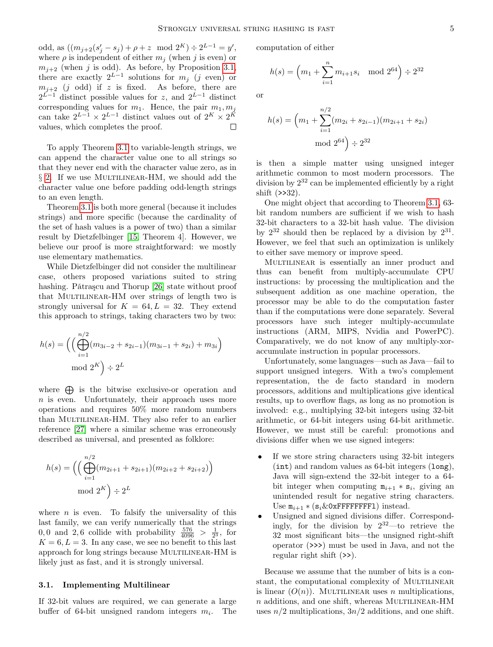odd, as  $((m_{j+2}(s'_j - s_j) + \rho + z \mod 2^K) \div 2^{L-1} = y',$ where  $\rho$  is independent of either  $m_i$  (when j is even) or  $m_{i+2}$  (when j is odd). As before, by Proposition [3.1,](#page-2-1) there are exactly  $2^{L-1}$  solutions for  $m_j$  (j even) or  $m_{i+2}$  (j odd) if z is fixed. As before, there are  $2^{L-1}$  distinct possible values for z, and  $2^{L-1}$  distinct corresponding values for  $m_1$ . Hence, the pair  $m_1, m_j$ can take  $2^{L-1} \times 2^{L-1}$  distinct values out of  $2^K \times 2^K$ values, which completes the proof.  $\Box$ 

To apply Theorem [3.1](#page-3-1) to variable-length strings, we can append the character value one to all strings so that they never end with the character value zero, as in  $\S$  [2.](#page-1-0) If we use MULTILINEAR-HM, we should add the character value one before padding odd-length strings to an even length.

Theorem [3.1](#page-3-1) is both more general (because it includes strings) and more specific (because the cardinality of the set of hash values is a power of two) than a similar result by Dietzfelbinger [\[15,](#page-12-12) Theorem 4]. However, we believe our proof is more straightforward: we mostly use elementary mathematics.

While Dietzfelbinger did not consider the multilinear case, others proposed variations suited to string hashing. Pǎtraşcu and Thorup [\[26\]](#page-12-23) state without proof that MULTILINEAR-HM over strings of length two is strongly universal for  $K = 64, L = 32$ . They extend this approach to strings, taking characters two by two:

$$
h(s) = \left( \left( \bigoplus_{i=1}^{n/2} (m_{3i-2} + s_{2i-1})(m_{3i-1} + s_{2i}) + m_{3i} \right) \mod 2^K \right) \div 2^L
$$

where  $\bigoplus$  is the bitwise exclusive-or operation and  $n$  is even. Unfortunately, their approach uses more operations and requires 50% more random numbers than MULTILINEAR-HM. They also refer to an earlier reference [\[27\]](#page-12-24) where a similar scheme was erroneously described as universal, and presented as folklore:

$$
h(s) = \left( \left( \bigoplus_{i=1}^{n/2} (m_{2i+1} + s_{2i+1})(m_{2i+2} + s_{2i+2}) \right) \mod 2^K \right) \div 2^L
$$

where  $n$  is even. To falsify the universality of this last family, we can verify numerically that the strings 0,0 and 2,6 collide with probability  $\frac{576}{4096} > \frac{1}{2^3}$ , for  $K = 6, L = 3$ . In any case, we see no benefit to this last approach for long strings because MULTILINEAR-HM is likely just as fast, and it is strongly universal.

#### 3.1. Implementing Multilinear

If 32-bit values are required, we can generate a large buffer of 64-bit unsigned random integers  $m_i$ . The computation of either

$$
h(s) = \left(m_1 + \sum_{i=1}^n m_{i+1} s_i \mod 2^{64}\right) \div 2^{32}
$$

or

$$
h(s) = \left(m_1 + \sum_{i=1}^{n/2} (m_{2i} + s_{2i-1})(m_{2i+1} + s_{2i})\right)
$$
  
mod  $2^{64}$   $\div 2^{32}$ 

is then a simple matter using unsigned integer arithmetic common to most modern processors. The division by  $2^{32}$  can be implemented efficiently by a right shift (>>32).

One might object that according to Theorem [3.1,](#page-3-1) 63 bit random numbers are sufficient if we wish to hash 32-bit characters to a 32-bit hash value. The division by  $2^{32}$  should then be replaced by a division by  $2^{31}$ . However, we feel that such an optimization is unlikely to either save memory or improve speed.

MULTILINEAR is essentially an inner product and thus can benefit from multiply-accumulate CPU instructions: by processing the multiplication and the subsequent addition as one machine operation, the processor may be able to do the computation faster than if the computations were done separately. Several processors have such integer multiply-accumulate instructions (ARM, MIPS, Nvidia and PowerPC). Comparatively, we do not know of any multiply-xoraccumulate instruction in popular processors.

Unfortunately, some languages—such as Java—fail to support unsigned integers. With a two's complement representation, the de facto standard in modern processors, additions and multiplications give identical results, up to overflow flags, as long as no promotion is involved: e.g., multiplying 32-bit integers using 32-bit arithmetic, or 64-bit integers using 64-bit arithmetic. However, we must still be careful: promotions and divisions differ when we use signed integers:

- If we store string characters using 32-bit integers (int) and random values as 64-bit integers (long), Java will sign-extend the 32-bit integer to a 64 bit integer when computing  $m_{i+1} * s_i$ , giving an unintended result for negative string characters. Use  $m_{i+1} * (s_i \& 0 \times \text{FFFFT}$ FFFFFFI) instead.
- Unsigned and signed divisions differ. Correspondingly, for the division by  $2^{32}$ —to retrieve the 32 most significant bits—the unsigned right-shift operator (>>>) must be used in Java, and not the regular right shift (>>).

Because we assume that the number of bits is a constant, the computational complexity of MULTILINEAR is linear  $(O(n))$ . MULTILINEAR uses n multiplications,  $n$  additions, and one shift, whereas MULTILINEAR-HM uses  $n/2$  multiplications,  $3n/2$  additions, and one shift.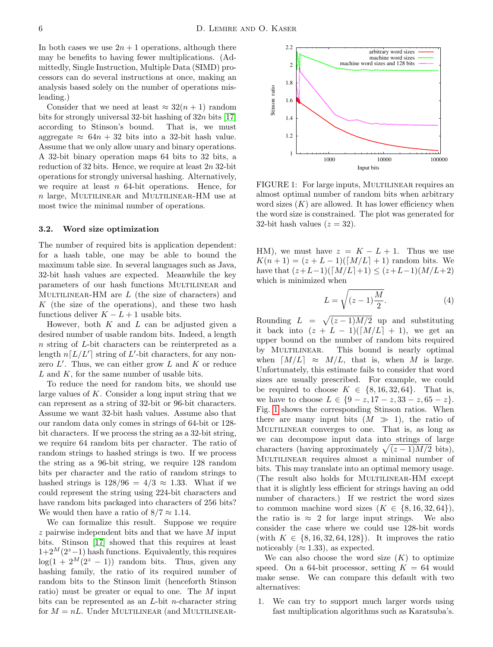In both cases we use  $2n + 1$  operations, although there may be benefits to having fewer multiplications. (Admittedly, Single Instruction, Multiple Data (SIMD) processors can do several instructions at once, making an analysis based solely on the number of operations misleading.)

Consider that we need at least  $\approx 32(n+1)$  random bits for strongly universal 32-bit hashing of  $32n$  bits [\[17\]](#page-12-14) according to Stinson's bound. That is, we must aggregate  $\approx 64n + 32$  bits into a 32-bit hash value. Assume that we only allow unary and binary operations. A 32-bit binary operation maps 64 bits to 32 bits, a reduction of 32 bits. Hence, we require at least  $2n$  32-bit operations for strongly universal hashing. Alternatively, we require at least  $n$  64-bit operations. Hence, for  $n$  large, MULTILINEAR and MULTILINEAR-HM use at most twice the minimal number of operations.

#### <span id="page-5-1"></span>3.2. Word size optimization

The number of required bits is application dependent: for a hash table, one may be able to bound the maximum table size. In several languages such as Java, 32-bit hash values are expected. Meanwhile the key parameters of our hash functions MULTILINEAR and MULTILINEAR-HM are  $L$  (the size of characters) and  $K$  (the size of the operations), and these two hash functions deliver  $K - L + 1$  usable bits.

However, both  $K$  and  $L$  can be adjusted given a desired number of usable random bits. Indeed, a length n string of L-bit characters can be reinterpreted as a length  $n[L/L']$  string of L'-bit characters, for any nonzero  $L'$ . Thus, we can either grow  $L$  and  $K$  or reduce L and K, for the same number of usable bits.

To reduce the need for random bits, we should use large values of  $K$ . Consider a long input string that we can represent as a string of 32-bit or 96-bit characters. Assume we want 32-bit hash values. Assume also that our random data only comes in strings of 64-bit or 128 bit characters. If we process the string as a 32-bit string, we require 64 random bits per character. The ratio of random strings to hashed strings is two. If we process the string as a 96-bit string, we require 128 random bits per character and the ratio of random strings to hashed strings is  $128/96 = 4/3 \approx 1.33$ . What if we could represent the string using 224-bit characters and have random bits packaged into characters of 256 bits? We would then have a ratio of  $8/7 \approx 1.14$ .

We can formalize this result. Suppose we require z pairwise independent bits and that we have M input bits. Stinson [\[17\]](#page-12-14) showed that this requires at least  $1+2^M(2^z-1)$  hash functions. Equivalently, this requires  $log(1 + 2^M(2^z - 1))$  random bits. Thus, given any hashing family, the ratio of its required number of random bits to the Stinson limit (henceforth Stinson ratio) must be greater or equal to one. The M input bits can be represented as an  $L$ -bit *n*-character string for  $M = nL$ . Under MULTILINEAR (and MULTILINEAR-

<span id="page-5-0"></span>

FIGURE 1: For large inputs, MULTILINEAR requires an almost optimal number of random bits when arbitrary word sizes  $(K)$  are allowed. It has lower efficiency when the word size is constrained. The plot was generated for 32-bit hash values  $(z = 32)$ .

HM), we must have  $z = K - L + 1$ . Thus we use  $K(n + 1) = (z + L - 1)([M/L] + 1)$  random bits. We have that  $(z+L-1)([M/L]+1) \leq (z+L-1)(M/L+2)$ which is minimized when

$$
L = \sqrt{(z-1)\frac{M}{2}}.\tag{4}
$$

Rounding  $L = \sqrt{(z-1)M/2}$  up and substituting it back into  $(z + L - 1)([M/L] + 1)$ , we get an upper bound on the number of random bits required by MULTILINEAR. This bound is nearly optimal when  $\lceil M/L \rceil \approx M/L$ , that is, when M is large. Unfortunately, this estimate fails to consider that word sizes are usually prescribed. For example, we could be required to choose  $K \in \{8, 16, 32, 64\}$ . That is, we have to choose  $L \in \{9 - z, 17 - z, 33 - z, 65 - z\}.$ Fig. [1](#page-5-0) shows the corresponding Stinson ratios. When there are many input bits  $(M \gg 1)$ , the ratio of Multilinear converges to one. That is, as long as we can decompose input data into strings of large characters (having approximately  $\sqrt{(z-1)M/2}$  bits), Multilinear requires almost a minimal number of bits. This may translate into an optimal memory usage. (The result also holds for MULTILINEAR-HM except that it is slightly less efficient for strings having an odd number of characters.) If we restrict the word sizes to common machine word sizes  $(K \in \{8, 16, 32, 64\})$ , the ratio is  $\approx$  2 for large input strings. We also consider the case where we could use 128-bit words (with  $K \in \{8, 16, 32, 64, 128\}$ ). It improves the ratio noticeably ( $\approx$  1.33), as expected.

We can also choose the word size  $(K)$  to optimize speed. On a 64-bit processor, setting  $K = 64$  would make sense. We can compare this default with two alternatives:

1. We can try to support much larger words using fast multiplication algorithms such as Karatsuba's.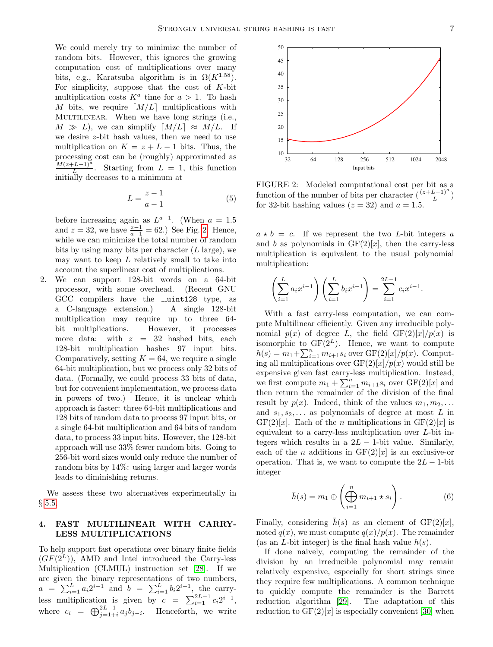We could merely try to minimize the number of random bits. However, this ignores the growing computation cost of multiplications over many bits, e.g., Karatsuba algorithm is in  $\Omega(K^{1.58})$ . For simplicity, suppose that the cost of  $K$ -bit multiplication costs  $K^a$  time for  $a > 1$ . To hash M bits, we require  $[M/L]$  multiplications with MULTILINEAR. When we have long strings (i.e.,  $M \gg L$ , we can simplify  $\lceil M/L \rceil \approx M/L$ . If we desire z-bit hash values, then we need to use multiplication on  $K = z + L - 1$  bits. Thus, the processing cost can be (roughly) approximated as  $M(z+L-1)^a$  $\frac{L-L-1}{L}$ . Starting from  $L = 1$ , this function initially decreases to a minimum at

$$
L = \frac{z - 1}{a - 1} \tag{5}
$$

before increasing again as  $L^{a-1}$ . (When  $a = 1.5$ and  $z = 32$ , we have  $\frac{z-1}{a-1} = 62$ .) See Fig. [2.](#page-6-1) Hence, while we can minimize the total number of random bits by using many bits per character  $(L \text{ large})$ , we may want to keep  $L$  relatively small to take into account the superlinear cost of multiplications.

2. We can support 128-bit words on a 64-bit processor, with some overhead. (Recent GNU GCC compilers have the  $\text{\_}unit128$  type, as a C-language extension.) A single 128-bit multiplication may require up to three 64 bit multiplications. However, it processes more data: with  $z = 32$  hashed bits, each 128-bit multiplication hashes 97 input bits. Comparatively, setting  $K = 64$ , we require a single 64-bit multiplication, but we process only 32 bits of data. (Formally, we could process 33 bits of data, but for convenient implementation, we process data in powers of two.) Hence, it is unclear which approach is faster: three 64-bit multiplications and 128 bits of random data to process 97 input bits, or a single 64-bit multiplication and 64 bits of random data, to process 33 input bits. However, the 128-bit approach will use 33% fewer random bits. Going to 256-bit word sizes would only reduce the number of random bits by 14%: using larger and larger words leads to diminishing returns.

We assess these two alternatives experimentally in § [5.5.](#page-9-0)

# <span id="page-6-0"></span>4. FAST MULTILINEAR WITH CARRY-LESS MULTIPLICATIONS

To help support fast operations over binary finite fields  $(GF(2^L))$ , AMD and Intel introduced the Carry-less Multiplication (CLMUL) instruction set [\[28\]](#page-12-25). If we are given the binary representations of two numbers,  $a = \sum_{i=1}^{L} a_i 2^{i-1}$  and  $b = \sum_{i=1}^{L} b_i 2^{i-1}$ , the carryless multiplication is given by  $c = \sum_{i=1}^{2L-1} c_i 2^{i-1}$ , where  $c_i = \bigoplus_{j=1+i}^{2L-1} a_j b_{j-i}$ . Henceforth, we write

<span id="page-6-1"></span>

FIGURE 2: Modeled computational cost per bit as a function of the number of bits per character  $(\frac{(z+L-1)^a}{L})$ for 32-bit hashing values  $(z = 32)$  and  $a = 1.5$ .

 $a * b = c$ . If we represent the two *L*-bit integers a and b as polynomials in  $GF(2)[x]$ , then the carry-less multiplication is equivalent to the usual polynomial multiplication:

$$
\left(\sum_{i=1}^{L} a_i x^{i-1}\right) \left(\sum_{i=1}^{L} b_i x^{i-1}\right) = \sum_{i=1}^{2L-1} c_i x^{i-1}.
$$

With a fast carry-less computation, we can compute Multilinear efficiently. Given any irreducible polynomial  $p(x)$  of degree L, the field  $GF(2)[x]/p(x)$  is isomorphic to  $GF(2^L)$ . Hence, we want to compute  $h(s) = m_1 + \sum_{i=1}^{n} m_{i+1} s_i$  over  $GF(2)[x]/p(x)$ . Computing all multiplications over  $GF(2)[x]/p(x)$  would still be expensive given fast carry-less multiplication. Instead, we first compute  $m_1 + \sum_{i=1}^n m_{i+1} s_i$  over  $GF(2)[x]$  and then return the remainder of the division of the final result by  $p(x)$ . Indeed, think of the values  $m_1, m_2, \ldots$ and  $s_1, s_2, \ldots$  as polynomials of degree at most L in  $GF(2)[x]$ . Each of the *n* multiplications in  $GF(2)[x]$  is equivalent to a carry-less multiplication over L-bit integers which results in a  $2L - 1$ -bit value. Similarly, each of the *n* additions in  $GF(2)[x]$  is an exclusive-or operation. That is, we want to compute the  $2L - 1$ -bit integer

<span id="page-6-2"></span>
$$
\bar{h}(s) = m_1 \oplus \left(\bigoplus_{i=1}^n m_{i+1} \star s_i\right). \tag{6}
$$

Finally, considering  $\bar{h}(s)$  as an element of GF(2)[x], noted  $q(x)$ , we must compute  $q(x)/p(x)$ . The remainder (as an *L*-bit integer) is the final hash value  $h(s)$ .

If done naively, computing the remainder of the division by an irreducible polynomial may remain relatively expensive, especially for short strings since they require few multiplications. A common technique to quickly compute the remainder is the Barrett reduction algorithm [\[29\]](#page-12-26). The adaptation of this reduction to  $GF(2)[x]$  is especially convenient [\[30\]](#page-12-27) when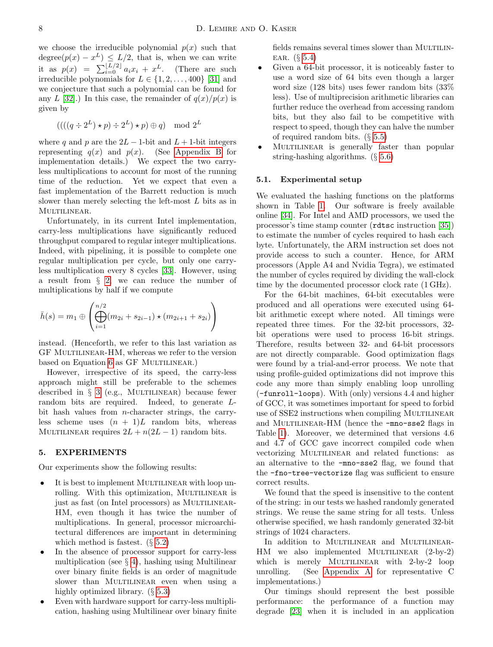we choose the irreducible polynomial  $p(x)$  such that  $degree(p(x) - x^L) \leq L/2$ , that is, when we can write it as  $p(x) = \sum_{i=0}^{\lfloor L/2 \rfloor} a_i x_i + x^L$ . (There are such irreducible polynomials for  $L \in \{1, 2, \ldots, 400\}$  [\[31\]](#page-12-28) and we conjecture that such a polynomial can be found for any L [\[32\]](#page-13-0).) In this case, the remainder of  $q(x)/p(x)$  is given by

$$
(((q \div 2^L) \star p) \div 2^L) \star p) \oplus q) \mod 2^L
$$

where q and p are the  $2L - 1$ -bit and  $L + 1$ -bit integers representing  $q(x)$  and  $p(x)$ . (See [Appendix B](#page-13-1) for implementation details.) We expect the two carryless multiplications to account for most of the running time of the reduction. Yet we expect that even a fast implementation of the Barrett reduction is much slower than merely selecting the left-most L bits as in MULTILINEAR.

Unfortunately, in its current Intel implementation, carry-less multiplications have significantly reduced throughput compared to regular integer multiplications. Indeed, with pipelining, it is possible to complete one regular multiplication per cycle, but only one carryless multiplication every 8 cycles [\[33\]](#page-13-2). However, using a result from § [2,](#page-1-0) we can reduce the number of multiplications by half if we compute

$$
\bar{h}(s) = m_1 \oplus \left( \bigoplus_{i=1}^{n/2} (m_{2i} + s_{2i-1}) \star (m_{2i+1} + s_{2i}) \right)
$$

instead. (Henceforth, we refer to this last variation as GF Multilinear-HM, whereas we refer to the version based on Equation [6](#page-6-2) as GF MULTILINEAR.)

However, irrespective of its speed, the carry-less approach might still be preferable to the schemes described in  $\S$  [3](#page-2-0) (e.g., MULTILINEAR) because fewer random bits are required. Indeed, to generate Lbit hash values from n-character strings, the carryless scheme uses  $(n + 1)L$  random bits, whereas MULTILINEAR requires  $2L + n(2L - 1)$  random bits.

### <span id="page-7-0"></span>5. EXPERIMENTS

Our experiments show the following results:

- It is best to implement MULTILINEAR with loop unrolling. With this optimization, MULTILINEAR is just as fast (on Intel processors) as MULTILINEAR-HM, even though it has twice the number of multiplications. In general, processor microarchitectural differences are important in determining which method is fastest. (§ [5.2\)](#page-8-2)
- In the absence of processor support for carry-less multiplication (see  $\S$  [4\)](#page-6-0), hashing using Multilinear over binary finite fields is an order of magnitude slower than MULTILINEAR even when using a highly optimized library. (§ [5.3\)](#page-8-0)
- Even with hardware support for carry-less multiplication, hashing using Multilinear over binary finite

fields remains several times slower than MULTILIN-EAR.  $(\S 5.4)$  $(\S 5.4)$ 

- Given a 64-bit processor, it is noticeably faster to use a word size of 64 bits even though a larger word size (128 bits) uses fewer random bits (33% less). Use of multiprecision arithmetic libraries can further reduce the overhead from accessing random bits, but they also fail to be competitive with respect to speed, though they can halve the number of required random bits. (§ [5.5\)](#page-9-0)
- MULTILINEAR is generally faster than popular string-hashing algorithms. (§ [5.6\)](#page-10-0)

#### 5.1. Experimental setup

We evaluated the hashing functions on the platforms shown in Table [1.](#page-8-3) Our software is freely available online [\[34\]](#page-13-3). For Intel and AMD processors, we used the processor's time stamp counter (rdtsc instruction [\[35\]](#page-13-4)) to estimate the number of cycles required to hash each byte. Unfortunately, the ARM instruction set does not provide access to such a counter. Hence, for ARM processors (Apple A4 and Nvidia Tegra), we estimated the number of cycles required by dividing the wall-clock time by the documented processor clock rate (1 GHz).

For the 64-bit machines, 64-bit executables were produced and all operations were executed using 64 bit arithmetic except where noted. All timings were repeated three times. For the 32-bit processors, 32 bit operations were used to process 16-bit strings. Therefore, results between 32- and 64-bit processors are not directly comparable. Good optimization flags were found by a trial-and-error process. We note that using profile-guided optimizations did not improve this code any more than simply enabling loop unrolling (-funroll-loops). With (only) versions 4.4 and higher of GCC, it was sometimes important for speed to forbid use of SSE2 instructions when compiling MULTILINEAR and MULTILINEAR-HM (hence the -mno-sse2 flags in Table [1\)](#page-8-3). Moreover, we determined that versions 4.6 and 4.7 of GCC gave incorrect compiled code when vectorizing MULTILINEAR and related functions: as an alternative to the -mno-sse2 flag, we found that the -fno-tree-vectorize flag was sufficient to ensure correct results.

We found that the speed is insensitive to the content of the string: in our tests we hashed randomly generated strings. We reuse the same string for all tests. Unless otherwise specified, we hash randomly generated 32-bit strings of 1024 characters.

In addition to MULTILINEAR and MULTILINEAR-HM we also implemented MULTILINEAR (2-by-2) which is merely MULTILINEAR with 2-by-2 loop unrolling. (See [Appendix A](#page-13-5) for representative C implementations.)

Our timings should represent the best possible performance: the performance of a function may degrade [\[23\]](#page-12-20) when it is included in an application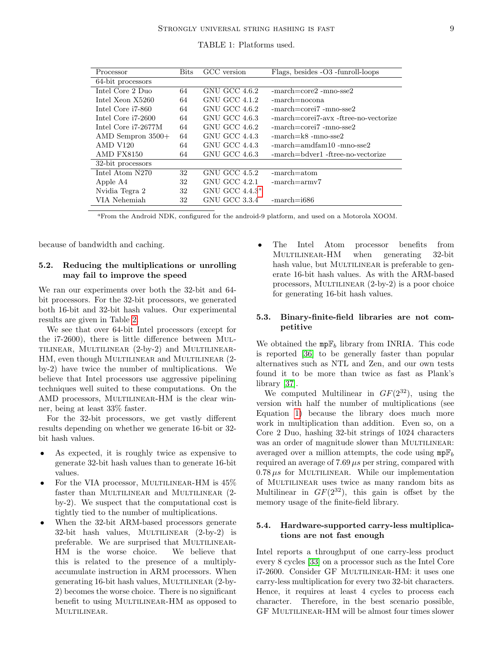| TABLE 1: Platforms used. |  |
|--------------------------|--|
|--------------------------|--|

<span id="page-8-3"></span>

| Processor               | <b>Bits</b> | GCC version          | Flags, besides -O3 -funroll-loops          |
|-------------------------|-------------|----------------------|--------------------------------------------|
| 64-bit processors       |             |                      |                                            |
| Intel Core 2 Duo        | 64          | GNU GCC 4.6.2        | $-march = core2 - mno-sse2$                |
| Intel Xeon X5260        | 64          | GNU GCC 4.1.2        | $-march = nocona$                          |
| Intel Core i7-860       | 64          | GNU GCC 4.6.2        | $-march = corei7 - mno - sse2$             |
| Intel Core i7-2600      | 64          | GNU GCC 4.6.3        | $-march = corei7-avx - ftree-no-vectorize$ |
| Intel Core i7-2677M     | 64          | GNU GCC 4.6.2        | $-march = corei7 - mno - sse2$             |
| $\rm AMD$ Sempron 3500+ | 64          | <b>GNU GCC 4.4.3</b> | $-march = k8 - mno-sse2$                   |
| <b>AMD V120</b>         | 64          | GNU GCC 4.4.3        | $-march = \text{andfam10 -mno-sse2}$       |
| <b>AMD FX8150</b>       | 64          | GNU GCC 4.6.3        | -march=bdyer1 -ftree-no-vectorize          |
| 32-bit processors       |             |                      |                                            |
| Intel Atom N270         | 32          | GNU GCC 4.5.2        | $-march=atom$                              |
| Apple A4                | 32          | GNU GCC 4.2.1        | $-march = armv7$                           |
| Nvidia Tegra 2          | 32          | GNU GCC $4.4.3^a$    |                                            |
| VIA Nehemiah            | 32          | GNU GCC 3.3.4        | $-march=$ i686                             |

<span id="page-8-4"></span><sup>a</sup>From the Android NDK, configured for the android-9 platform, and used on a Motorola XOOM.

because of bandwidth and caching.

# <span id="page-8-2"></span>5.2. Reducing the multiplications or unrolling may fail to improve the speed

We ran our experiments over both the 32-bit and 64 bit processors. For the 32-bit processors, we generated both 16-bit and 32-bit hash values. Our experimental results are given in Table [2.](#page-9-1)

We see that over 64-bit Intel processors (except for the i7-2600), there is little difference between Multilinear, Multilinear (2-by-2) and Multilinear-HM, even though MULTILINEAR and MULTILINEAR  $(2$ by-2) have twice the number of multiplications. We believe that Intel processors use aggressive pipelining techniques well suited to these computations. On the AMD processors, MULTILINEAR-HM is the clear winner, being at least 33% faster.

For the 32-bit processors, we get vastly different results depending on whether we generate 16-bit or 32 bit hash values.

- As expected, it is roughly twice as expensive to generate 32-bit hash values than to generate 16-bit values.
- For the VIA processor, MULTILINEAR-HM is  $45\%$ faster than MULTILINEAR and MULTILINEAR (2by-2). We suspect that the computational cost is tightly tied to the number of multiplications.
- When the 32-bit ARM-based processors generate 32-bit hash values, MULTILINEAR  $(2-by-2)$  is preferable. We are surprised that MULTILINEAR-HM is the worse choice. We believe that this is related to the presence of a multiplyaccumulate instruction in ARM processors. When generating 16-bit hash values, MULTILINEAR (2-by-2) becomes the worse choice. There is no significant benefit to using MULTILINEAR-HM as opposed to MULTILINEAR.

• The Intel Atom processor benefits from MULTILINEAR-HM when generating 32-bit hash value, but MULTILINEAR is preferable to generate 16-bit hash values. As with the ARM-based processors, MULTILINEAR  $(2-by-2)$  is a poor choice for generating 16-bit hash values.

# <span id="page-8-0"></span>5.3. Binary-finite-field libraries are not competitive

We obtained the  $mp\mathbb{F}_b$  library from INRIA. This code is reported [\[36\]](#page-13-6) to be generally faster than popular alternatives such as NTL and Zen, and our own tests found it to be more than twice as fast as Plank's library [\[37\]](#page-13-7).

We computed Multilinear in  $GF(2^{32})$ , using the version with half the number of multiplications (see Equation [1\)](#page-1-1) because the library does much more work in multiplication than addition. Even so, on a Core 2 Duo, hashing 32-bit strings of 1024 characters was an order of magnitude slower than MULTILINEAR: averaged over a million attempts, the code using  $mp\mathbb{F}_b$ required an average of  $7.69 \,\mu s$  per string, compared with  $0.78 \,\mu s$  for MULTILINEAR. While our implementation of Multilinear uses twice as many random bits as Multilinear in  $GF(2^{32})$ , this gain is offset by the memory usage of the finite-field library.

# <span id="page-8-1"></span>5.4. Hardware-supported carry-less multiplications are not fast enough

Intel reports a throughput of one carry-less product every 8 cycles [\[33\]](#page-13-2) on a processor such as the Intel Core i7-2600. Consider GF MULTILINEAR-HM: it uses one carry-less multiplication for every two 32-bit characters. Hence, it requires at least 4 cycles to process each character. Therefore, in the best scenario possible, GF MULTILINEAR-HM will be almost four times slower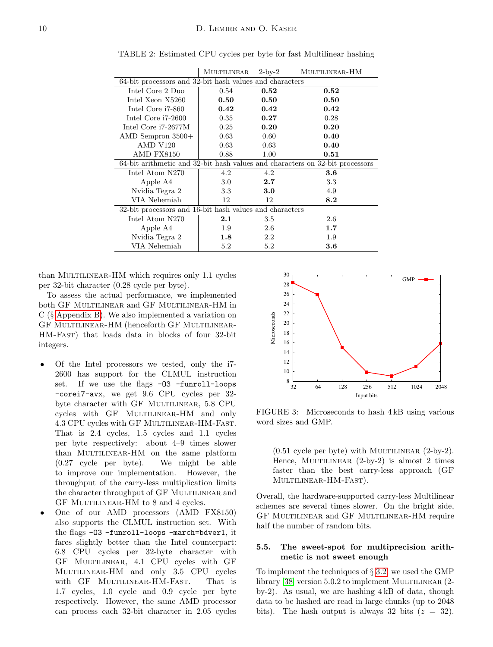|                                                                              | MULTILINEAR | $2$ -by- $2$ | MULTILINEAR-HM |  |  |
|------------------------------------------------------------------------------|-------------|--------------|----------------|--|--|
| 64-bit processors and 32-bit hash values and characters                      |             |              |                |  |  |
| Intel Core 2 Duo                                                             | 0.54        | 0.52         | 0.52           |  |  |
| Intel Xeon X5260                                                             | 0.50        | 0.50         | 0.50           |  |  |
| Intel Core i7-860                                                            | $0.42\,$    | 0.42         | 0.42           |  |  |
| Intel Core i7-2600                                                           | 0.35        | 0.27         | 0.28           |  |  |
| Intel Core i7-2677M                                                          | 0.25        | 0.20         | 0.20           |  |  |
| $\rm AMD$ Sempron 3500+                                                      | 0.63        | 0.60         | 0.40           |  |  |
| <b>AMD V120</b>                                                              | 0.63        | 0.63         | 0.40           |  |  |
| AMD FX8150                                                                   | 0.88        | 1.00         | 0.51           |  |  |
| 64-bit arithmetic and 32-bit hash values and characters on 32-bit processors |             |              |                |  |  |
| Intel Atom N270                                                              | 4.2         | 4.2          | $3.6\,$        |  |  |
| Apple A4                                                                     | 3.0         | 2.7          | 3.3            |  |  |
| Nvidia Tegra 2                                                               | 3.3         | 3.0          | 4.9            |  |  |
| VIA Nehemiah                                                                 | 12          | 12           | 8.2            |  |  |
| 32-bit processors and 16-bit hash values and characters                      |             |              |                |  |  |
| Intel Atom N270                                                              | 2.1         | $3.5\,$      | 2.6            |  |  |
| Apple A4                                                                     | 1.9         | 2.6          | 1.7            |  |  |
| Nvidia Tegra 2                                                               | $1.8\,$     | 2.2          | 1.9            |  |  |
| VIA Nehemiah                                                                 | $5.2\,$     | 5.2          | $3.6\,$        |  |  |

<span id="page-9-1"></span>TABLE 2: Estimated CPU cycles per byte for fast Multilinear hashing

than MULTILINEAR-HM which requires only 1.1 cycles per 32-bit character (0.28 cycle per byte).

To assess the actual performance, we implemented both GF Multilinear and GF Multilinear-HM in C (§ [Appendix B\)](#page-13-1). We also implemented a variation on GF Multilinear-HM (henceforth GF Multilinear-HM-Fast) that loads data in blocks of four 32-bit integers.

- Of the Intel processors we tested, only the i7- 2600 has support for the CLMUL instruction set. If we use the flags -03 -funroll-loops -corei7-avx, we get 9.6 CPU cycles per 32 byte character with GF MULTILINEAR, 5.8 CPU cycles with GF MULTILINEAR-HM and only 4.3 CPU cycles with GF Multilinear-HM-Fast. That is 2.4 cycles, 1.5 cycles and 1.1 cycles per byte respectively: about 4–9 times slower than MULTILINEAR-HM on the same platform (0.27 cycle per byte). We might be able to improve our implementation. However, the throughput of the carry-less multiplication limits the character throughput of GF MULTILINEAR and GF MULTILINEAR-HM to 8 and 4 cycles.
- One of our AMD processors (AMD FX8150) also supports the CLMUL instruction set. With the flags -O3 -funroll-loops -march=bdver1, it fares slightly better than the Intel counterpart: 6.8 CPU cycles per 32-byte character with GF Multilinear, 4.1 CPU cycles with GF Multilinear-HM and only 3.5 CPU cycles with GF MULTILINEAR-HM-FAST. That is 1.7 cycles, 1.0 cycle and 0.9 cycle per byte respectively. However, the same AMD processor can process each 32-bit character in 2.05 cycles

<span id="page-9-2"></span>

FIGURE 3: Microseconds to hash 4 kB using various word sizes and GMP.

 $(0.51 \text{ cycle per byte})$  with MULTILINEAR  $(2-by-2)$ . Hence, MULTILINEAR  $(2-by-2)$  is almost 2 times faster than the best carry-less approach (GF MULTILINEAR-HM-FAST).

Overall, the hardware-supported carry-less Multilinear schemes are several times slower. On the bright side, GF Multilinear and GF Multilinear-HM require half the number of random bits.

# <span id="page-9-0"></span>5.5. The sweet-spot for multiprecision arithmetic is not sweet enough

To implement the techniques of § [3.2,](#page-5-1) we used the GMP library [\[38\]](#page-13-8) version  $5.0.2$  to implement MULTILINEAR  $(2$ by-2). As usual, we are hashing 4 kB of data, though data to be hashed are read in large chunks (up to 2048 bits). The hash output is always 32 bits  $(z = 32)$ .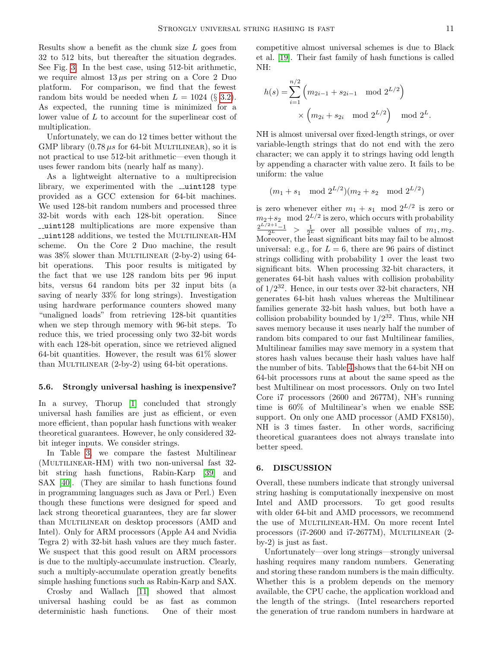Results show a benefit as the chunk size  $L$  goes from 32 to 512 bits, but thereafter the situation degrades. See Fig. [3.](#page-9-2) In the best case, using 512-bit arithmetic, we require almost  $13 \mu s$  per string on a Core 2 Duo platform. For comparison, we find that the fewest random bits would be needed when  $L = 1024$  (§ [3.2\)](#page-5-1). As expected, the running time is minimized for a lower value of L to account for the superlinear cost of multiplication.

Unfortunately, we can do 12 times better without the GMP library  $(0.78 \,\mu s)$  for 64-bit MULTILINEAR), so it is not practical to use 512-bit arithmetic—even though it uses fewer random bits (nearly half as many).

As a lightweight alternative to a multiprecision library, we experimented with the  $\text{\_}unit128$  type provided as a GCC extension for 64-bit machines. We used 128-bit random numbers and processed three 32-bit words with each 128-bit operation. Since uint128 multiplications are more expensive than uint128 additions, we tested the Multilinear-HM scheme. On the Core 2 Duo machine, the result was  $38\%$  slower than MULTILINEAR  $(2-by-2)$  using 64bit operations. This poor results is mitigated by the fact that we use 128 random bits per 96 input bits, versus 64 random bits per 32 input bits (a saving of nearly 33% for long strings). Investigation using hardware performance counters showed many "unaligned loads" from retrieving 128-bit quantities when we step through memory with 96-bit steps. To reduce this, we tried processing only two 32-bit words with each 128-bit operation, since we retrieved aligned 64-bit quantities. However, the result was  $61\%$  slower than MULTILINEAR  $(2-by-2)$  using 64-bit operations.

#### <span id="page-10-0"></span>5.6. Strongly universal hashing is inexpensive?

In a survey, Thorup [\[1\]](#page-11-0) concluded that strongly universal hash families are just as efficient, or even more efficient, than popular hash functions with weaker theoretical guarantees. However, he only considered 32 bit integer inputs. We consider strings.

In Table [3,](#page-11-2) we compare the fastest Multilinear  $(MULTILINEAR-HM)$  with two non-universal fast 32bit string hash functions, Rabin-Karp [\[39\]](#page-13-9) and SAX [\[40\]](#page-13-10). (They are similar to hash functions found in programming languages such as Java or Perl.) Even though these functions were designed for speed and lack strong theoretical guarantees, they are far slower than MULTILINEAR on desktop processors (AMD and Intel). Only for ARM processors (Apple A4 and Nvidia Tegra 2) with 32-bit hash values are they much faster. We suspect that this good result on ARM processors is due to the multiply-accumulate instruction. Clearly, such a multiply-accumulate operation greatly benefits simple hashing functions such as Rabin-Karp and SAX.

Crosby and Wallach [\[11\]](#page-12-8) showed that almost universal hashing could be as fast as common deterministic hash functions. One of their most competitive almost universal schemes is due to Black et al. [\[19\]](#page-12-16). Their fast family of hash functions is called NH:

$$
h(s) = \sum_{i=1}^{n/2} \left( m_{2i-1} + s_{2i-1} \mod 2^{L/2} \right) \times \left( m_{2i} + s_{2i} \mod 2^{L/2} \right) \mod 2^L.
$$

NH is almost universal over fixed-length strings, or over variable-length strings that do not end with the zero character; we can apply it to strings having odd length by appending a character with value zero. It fails to be uniform: the value

$$
(m_1 + s_1 \mod 2^{L/2})(m_2 + s_2 \mod 2^{L/2})
$$

is zero whenever either  $m_1 + s_1 \mod 2^{L/2}$  is zero or  $m_2+s_2 \mod 2^{L/2}$  is zero, which occurs with probability  $\frac{2^{L/2+1}-1}{2^L} > \frac{1}{2^L}$  over all possible values of  $m_1, m_2$ . Moreover, the least significant bits may fail to be almost universal: e.g., for  $L = 6$ , there are 96 pairs of distinct strings colliding with probability 1 over the least two significant bits. When processing 32-bit characters, it generates 64-bit hash values with collision probability of 1/2 <sup>32</sup>. Hence, in our tests over 32-bit characters, NH generates 64-bit hash values whereas the Multilinear families generate 32-bit hash values, but both have a collision probability bounded by  $1/2^{32}$ . Thus, while NH saves memory because it uses nearly half the number of random bits compared to our fast Multilinear families, Multilinear families may save memory in a system that stores hash values because their hash values have half the number of bits. Table [4](#page-11-3) shows that the 64-bit NH on 64-bit processors runs at about the same speed as the best Multilinear on most processors. Only on two Intel Core i7 processors (2600 and 2677M), NH's running time is 60% of Multilinear's when we enable SSE support. On only one AMD processor (AMD FX8150), NH is 3 times faster. In other words, sacrificing theoretical guarantees does not always translate into better speed.

#### 6. DISCUSSION

Overall, these numbers indicate that strongly universal string hashing is computationally inexpensive on most Intel and AMD processors. To get good results with older 64-bit and AMD processors, we recommend the use of MULTILINEAR-HM. On more recent Intel processors ( $i7-2600$  and  $i7-2677M$ ), MULTILINEAR (2by-2) is just as fast.

Unfortunately—over long strings—strongly universal hashing requires many random numbers. Generating and storing these random numbers is the main difficulty. Whether this is a problem depends on the memory available, the CPU cache, the application workload and the length of the strings. (Intel researchers reported the generation of true random numbers in hardware at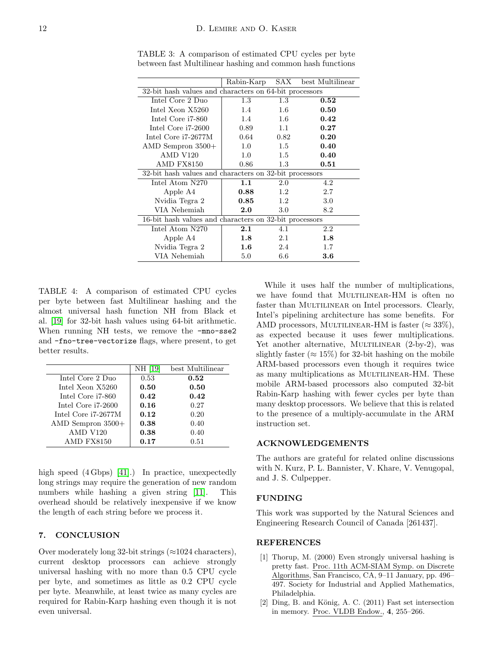|                                                           | Rabin-Karp | SAX  | best Multilinear |  |  |
|-----------------------------------------------------------|------------|------|------------------|--|--|
| $32$ -bit hash values and characters on 64-bit processors |            |      |                  |  |  |
| Intel Core 2 Duo                                          | 1.3        | 1.3  | 0.52             |  |  |
| Intel Xeon X5260                                          | 1.4        | 1.6  | 0.50             |  |  |
| Intel Core i7-860                                         | 1.4        | 1.6  | 0.42             |  |  |
| Intel Core i7-2600                                        | 0.89       | 1.1  | 0.27             |  |  |
| Intel Core i7-2677M                                       | 0.64       | 0.82 | 0.20             |  |  |
| $\rm AMD$ Sempron $3500+$                                 | 1.0        | 1.5  | 0.40             |  |  |
| <b>AMD V120</b>                                           | 1.0        | 1.5  | 0.40             |  |  |
| AMD FX8150                                                | 0.86       | 1.3  | 0.51             |  |  |
| 32-bit hash values and characters on 32-bit processors    |            |      |                  |  |  |
| Intel Atom N270                                           | 1.1        | 2.0  | 4.2              |  |  |
| Apple A4                                                  | 0.88       | 1.2  | 2.7              |  |  |
| Nvidia Tegra 2                                            | $\,0.85\,$ | 1.2  | 3.0              |  |  |
| VIA Nehemiah                                              | 2.0        | 3.0  | 8.2              |  |  |
| 16-bit hash values and characters on 32-bit processors    |            |      |                  |  |  |
| Intel Atom N270                                           | 2.1        | 4.1  | 2.2              |  |  |
| Apple A4                                                  | 1.8        | 2.1  | 1.8              |  |  |
| Nvidia Tegra 2                                            | $1.6\,$    | 2.4  | 1.7              |  |  |
| VIA Nehemiah                                              | 5.0        | 6.6  | $\bf 3.6$        |  |  |

<span id="page-11-2"></span>TABLE 3: A comparison of estimated CPU cycles per byte between fast Multilinear hashing and common hash functions

<span id="page-11-3"></span>TABLE 4: A comparison of estimated CPU cycles per byte between fast Multilinear hashing and the almost universal hash function NH from Black et al. [\[19\]](#page-12-16) for 32-bit hash values using 64-bit arithmetic. When running NH tests, we remove the -mno-sse2 and -fno-tree-vectorize flags, where present, to get better results.

|                            | NH [19] | best Multilinear |
|----------------------------|---------|------------------|
| Intel Core 2 Duo           | 0.53    | 0.52             |
| Intel Xeon X5260           | 0.50    | 0.50             |
| Intel Core i7-860          | 0.42    | 0.42             |
| Intel Core i7-2600         | 0.16    | 0.27             |
| Intel Core i7-2677M        | 0.12    | 0.20             |
| $\Lambda$ MD Sempron 3500+ | 0.38    | 0.40             |
| <b>AMD V120</b>            | 0.38    | 0.40             |
| AMD FX8150                 | 0.17    | 0.51             |

high speed  $(4 \text{Gbps})$  [\[41\]](#page-13-11).) In practice, unexpectedly long strings may require the generation of new random numbers while hashing a given string [\[11\]](#page-12-8). This overhead should be relatively inexpensive if we know the length of each string before we process it.

# 7. CONCLUSION

Over moderately long 32-bit strings  $(\approx 1024 \text{ characters})$ , current desktop processors can achieve strongly universal hashing with no more than 0.5 CPU cycle per byte, and sometimes as little as 0.2 CPU cycle per byte. Meanwhile, at least twice as many cycles are required for Rabin-Karp hashing even though it is not even universal.

While it uses half the number of multiplications, we have found that MULTILINEAR-HM is often no faster than MULTILINEAR on Intel processors. Clearly, Intel's pipelining architecture has some benefits. For AMD processors, MULTILINEAR-HM is faster ( $\approx 33\%$ ), as expected because it uses fewer multiplications. Yet another alternative, MULTILINEAR (2-by-2), was slightly faster ( $\approx 15\%$ ) for 32-bit hashing on the mobile ARM-based processors even though it requires twice as many multiplications as MULTILINEAR-HM. These mobile ARM-based processors also computed 32-bit Rabin-Karp hashing with fewer cycles per byte than many desktop processors. We believe that this is related to the presence of a multiply-accumulate in the ARM instruction set.

# ACKNOWLEDGEMENTS

The authors are grateful for related online discussions with N. Kurz, P. L. Bannister, V. Khare, V. Venugopal, and J. S. Culpepper.

### FUNDING

This work was supported by the Natural Sciences and Engineering Research Council of Canada [261437].

#### **REFERENCES**

- <span id="page-11-0"></span>[1] Thorup, M. (2000) Even strongly universal hashing is pretty fast. Proc. 11th ACM-SIAM Symp. on Discrete Algorithms, San Francisco, CA, 9–11 January, pp. 496– 497. Society for Industrial and Applied Mathematics, Philadelphia.
- <span id="page-11-1"></span>[2] Ding, B. and König, A. C. (2011) Fast set intersection in memory. Proc. VLDB Endow., 4, 255–266.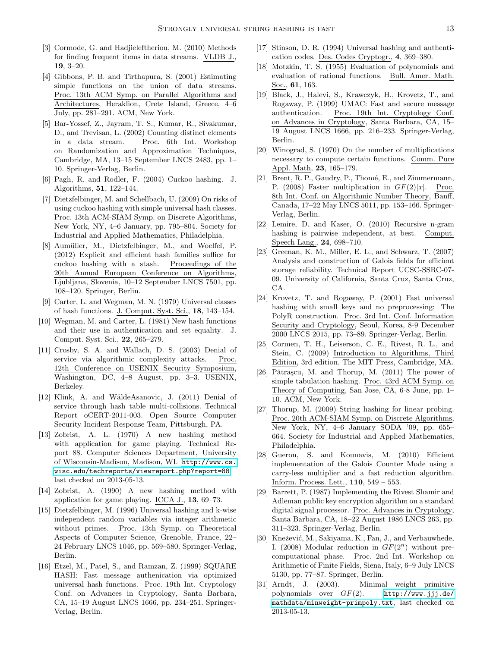- <span id="page-12-0"></span>[3] Cormode, G. and Hadiieleftheriou, M. (2010) Methods for finding frequent items in data streams. VLDB J., 19, 3–20.
- <span id="page-12-1"></span>[4] Gibbons, P. B. and Tirthapura, S. (2001) Estimating simple functions on the union of data streams. Proc. 13th ACM Symp. on Parallel Algorithms and Architectures, Heraklion, Crete Island, Greece, 4–6 July, pp. 281–291. ACM, New York.
- <span id="page-12-2"></span>[5] Bar-Yossef, Z., Jayram, T. S., Kumar, R., Sivakumar, D., and Trevisan, L. (2002) Counting distinct elements in a data stream. Proc. 6th Int. Workshop on Randomization and Approximation Techniques, Cambridge, MA, 13–15 September LNCS 2483, pp. 1– 10. Springer-Verlag, Berlin.
- <span id="page-12-3"></span>[6] Pagh, R. and Rodler, F. (2004) Cuckoo hashing. J. Algorithms, 51, 122–144.
- <span id="page-12-4"></span>[7] Dietzfelbinger, M. and Schellbach, U. (2009) On risks of using cuckoo hashing with simple universal hash classes. Proc. 13th ACM-SIAM Symp. on Discrete Algorithms, New York, NY, 4–6 January, pp. 795–804. Society for Industrial and Applied Mathematics, Philadelphia.
- <span id="page-12-5"></span>[8] Aumüller, M., Dietzfelbinger, M., and Woelfel, P. (2012) Explicit and efficient hash families suffice for cuckoo hashing with a stash. Proceedings of the 20th Annual European Conference on Algorithms, Ljubljana, Slovenia, 10–12 September LNCS 7501, pp. 108–120. Springer, Berlin.
- <span id="page-12-6"></span>[9] Carter, L. and Wegman, M. N. (1979) Universal classes of hash functions. J. Comput. Syst. Sci., 18, 143–154.
- <span id="page-12-7"></span>[10] Wegman, M. and Carter, L. (1981) New hash functions and their use in authentication and set equality. J. Comput. Syst. Sci., 22, 265–279.
- <span id="page-12-8"></span>[11] Crosby, S. A. and Wallach, D. S. (2003) Denial of service via algorithmic complexity attacks. Proc. 12th Conference on USENIX Security Symposium, Washington, DC, 4–8 August, pp. 3–3. USENIX, Berkeley.
- <span id="page-12-9"></span>[12] Klink, A. and WäldeAsanovic, J. (2011) Denial of service through hash table multi-collisions. Technical Report oCERT-2011-003. Open Source Computer Security Incident Response Team, Pittsburgh, PA.
- <span id="page-12-10"></span>[13] Zobrist, A. L. (1970) A new hashing method with application for game playing. Technical Report 88. Computer Sciences Department, University of Wisconsin-Madison, Madison, WI. [http://www.cs.](http://www.cs.wisc.edu/techreports/viewreport.php?report=88) [wisc.edu/techreports/viewreport.php?report=88](http://www.cs.wisc.edu/techreports/viewreport.php?report=88), last checked on 2013-05-13.
- <span id="page-12-11"></span>[14] Zobrist, A. (1990) A new hashing method with application for game playing. ICCA J., 13, 69–73.
- <span id="page-12-12"></span>[15] Dietzfelbinger, M. (1996) Universal hashing and k-wise independent random variables via integer arithmetic without primes. Proc. 13th Symp. on Theoretical Aspects of Computer Science, Grenoble, France, 22– 24 February LNCS 1046, pp. 569–580. Springer-Verlag, Berlin.
- <span id="page-12-13"></span>[16] Etzel, M., Patel, S., and Ramzan, Z. (1999) SQUARE HASH: Fast message authenication via optimized universal hash functions. Proc. 19th Int. Cryptology Conf. on Advances in Cryptology, Santa Barbara, CA, 15–19 August LNCS 1666, pp. 234–251. Springer-Verlag, Berlin.
- <span id="page-12-14"></span>[17] Stinson, D. R. (1994) Universal hashing and authentication codes. Des. Codes Cryptogr., 4, 369–380.
- <span id="page-12-15"></span>[18] Motzkin, T. S. (1955) Evaluation of polynomials and evaluation of rational functions. Bull. Amer. Math. Soc., 61, 163.
- <span id="page-12-16"></span>[19] Black, J., Halevi, S., Krawczyk, H., Krovetz, T., and Rogaway, P. (1999) UMAC: Fast and secure message authentication. Proc. 19th Int. Cryptology Conf. on Advances in Cryptology, Santa Barbara, CA, 15– 19 August LNCS 1666, pp. 216–233. Springer-Verlag, Berlin.
- <span id="page-12-17"></span>[20] Winograd, S. (1970) On the number of multiplications necessary to compute certain functions. Comm. Pure Appl. Math, 23, 165–179.
- <span id="page-12-18"></span>[21] Brent, R. P., Gaudry, P., Thomé, E., and Zimmermann, P. (2008) Faster multiplication in  $GF(2)[x]$ . Proc. 8th Int. Conf. on Algorithmic Number Theory, Banff, Canada, 17–22 May LNCS 5011, pp. 153–166. Springer-Verlag, Berlin.
- <span id="page-12-19"></span>[22] Lemire, D. and Kaser, O. (2010) Recursive n-gram hashing is pairwise independent, at best. Comput. Speech Lang., 24, 698–710.
- <span id="page-12-20"></span>[23] Greenan, K. M., Miller, E. L., and Schwarz, T. (2007) Analysis and construction of Galois fields for efficient storage reliability. Technical Report UCSC-SSRC-07- 09. University of California, Santa Cruz, Santa Cruz, CA.
- <span id="page-12-21"></span>[24] Krovetz, T. and Rogaway, P. (2001) Fast universal hashing with small keys and no preprocessing: The PolyR construction. Proc. 3rd Int. Conf. Information Security and Cryptology, Seoul, Korea, 8-9 December 2000 LNCS 2015, pp. 73–89. Springer-Verlag, Berlin.
- <span id="page-12-22"></span>[25] Cormen, T. H., Leiserson, C. E., Rivest, R. L., and Stein, C. (2009) Introduction to Algorithms, Third Edition, 3rd edition. The MIT Press, Cambridge, MA.
- <span id="page-12-23"></span>[26] Pǎtraşcu, M. and Thorup, M.  $(2011)$  The power of simple tabulation hashing. Proc. 43rd ACM Symp. on Theory of Computing, San Jose, CA, 6-8 June, pp. 1– 10. ACM, New York.
- <span id="page-12-24"></span>[27] Thorup, M. (2009) String hashing for linear probing. Proc. 20th ACM-SIAM Symp. on Discrete Algorithms, New York, NY, 4–6 January SODA '09, pp. 655– 664. Society for Industrial and Applied Mathematics, Philadelphia.
- <span id="page-12-25"></span>[28] Gueron, S. and Kounavis, M. (2010) Efficient implementation of the Galois Counter Mode using a carry-less multiplier and a fast reduction algorithm. Inform. Process. Lett., 110, 549 – 553.
- <span id="page-12-26"></span>[29] Barrett, P. (1987) Implementing the Rivest Shamir and Adleman public key encryption algorithm on a standard digital signal processor. Proc. Advances in Cryptology, Santa Barbara, CA, 18–22 August 1986 LNCS 263, pp. 311–323. Springer-Verlag, Berlin.
- <span id="page-12-27"></span>[30] Knežević, M., Sakiyama, K., Fan, J., and Verbauwhede, I. (2008) Modular reduction in  $GF(2^n)$  without precomputational phase. Proc. 2nd Int. Workshop on Arithmetic of Finite Fields, Siena, Italy, 6–9 July LNCS 5130, pp. 77–87. Springer, Berlin.
- <span id="page-12-28"></span>[31] Arndt, J. (2003). Minimal weight primitive polynomials over GF(2). [http://www.jjj.de/](http://www.jjj.de/mathdata/minweight-primpoly.txt) [mathdata/minweight-primpoly.txt](http://www.jjj.de/mathdata/minweight-primpoly.txt), last checked on 2013-05-13.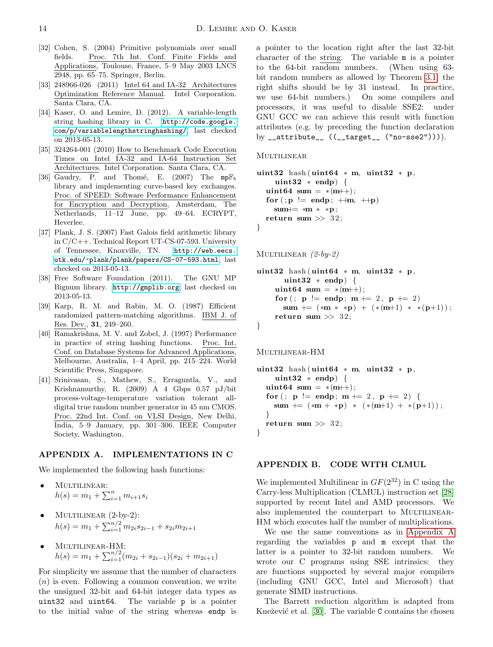- <span id="page-13-0"></span>[32] Cohen, S. (2004) Primitive polynomials over small fields. Proc. 7th Int. Conf. Finite Fields and Applications, Toulouse, France, 5–9 May 2003 LNCS 2948, pp. 65–75. Springer, Berlin.
- <span id="page-13-2"></span>[33] 248966-026 (2011) Intel 64 and IA-32 Architectures Optimization Reference Manual. Intel Corporation. Santa Clara, CA.
- <span id="page-13-3"></span>[34] Kaser, O. and Lemire, D. (2012). A variable-length string hashing library in C. [http://code.google.](http://code.google.com/p/variablelengthstringhashing/) [com/p/variablelengthstringhashing/](http://code.google.com/p/variablelengthstringhashing/), last checked on 2013-05-13.
- <span id="page-13-4"></span>[35] 324264-001 (2010) How to Benchmark Code Execution Times on Intel IA-32 and IA-64 Instruction Set Architectures. Intel Corporation. Santa Clara, CA.
- <span id="page-13-6"></span>[36] Gaudry, P. and Thomé, E. (2007) The  $mp\mathbb{F}_b$ library and implementing curve-based key exchanges. Proc. of SPEED: Software Performance Enhancement for Encryption and Decryption, Amsterdam, The Netherlands, 11–12 June, pp. 49–64. ECRYPT, Heverlee.
- <span id="page-13-7"></span>[37] Plank, J. S. (2007) Fast Galois field arithmetic library in C/C++. Technical Report UT-CS-07-593. University of Tennessee, Knoxville, TN. [http://web.eecs.](http://web.eecs.utk.edu/~plank/plank/papers/CS-07-593.html) [utk.edu/~plank/plank/papers/CS-07-593.html](http://web.eecs.utk.edu/~plank/plank/papers/CS-07-593.html), last checked on 2013-05-13.
- <span id="page-13-8"></span>[38] Free Software Foundation (2011). The GNU MP Bignum library. <http://gmplib.org>, last checked on 2013-05-13.
- <span id="page-13-9"></span>[39] Karp, R. M. and Rabin, M. O. (1987) Efficient randomized pattern-matching algorithms. IBM J. of Res. Dev., 31, 249–260.
- <span id="page-13-10"></span>[40] Ramakrishna, M. V. and Zobel, J. (1997) Performance in practice of string hashing functions. Proc. Int. Conf. on Database Systems for Advanced Applications, Melbourne, Australia, 1–4 April, pp. 215–224. World Scientific Press, Singapore.
- <span id="page-13-11"></span>[41] Srinivasan, S., Mathew, S., Erraguntla, V., and Krishnamurthy, R. (2009) A 4 Gbps 0.57 pJ/bit process-voltage-temperature variation tolerant alldigital true random number generator in 45 nm CMOS. Proc. 22nd Int. Conf. on VLSI Design, New Delhi, India, 5–9 January, pp. 301–306. IEEE Computer Society, Washington.

#### <span id="page-13-5"></span>APPENDIX A. IMPLEMENTATIONS IN C

We implemented the following hash functions:

- MULTILINEAR:  $h(s) = m_1 + \sum_{i=1}^n m_{i+1} s_i$
- $MULTILINEAR (2-by-2):$  $h(s) = m_1 + \sum_{i=1}^{n/2} m_{2i} s_{2i-1} + s_{2i} m_{2i+1}$

• MULTILINEAR-HM:  
\n
$$
h(s) = m_1 + \sum_{i=1}^{n/2} (m_{2i} + s_{2i-1})(s_{2i} + m_{2i+1})
$$

For simplicity we assume that the number of characters  $(n)$  is even. Following a common convention, we write the unsigned 32-bit and 64-bit integer data types as uint32 and uint64. The variable p is a pointer to the initial value of the string whereas endp is a pointer to the location right after the last 32-bit character of the string. The variable m is a pointer to the 64-bit random numbers. (When using 63 bit random numbers as allowed by Theorem [3.1,](#page-3-1) the right shifts should be by 31 instead. In practice, we use 64-bit numbers.) On some compilers and processors, it was useful to disable SSE2: under GNU GCC we can achieve this result with function attributes (e.g. by preceding the function declaration by  $_2$ attribute<sub>--</sub>  $((_2$ target<sub>--</sub>  $("no-sse2"))).$ 

**MULTILINEAR** 

```
uint32 hash (uint64 * m, uint32 * p,
    uint 32 * endp {
  uint64 sum = *(m++);for (:p := endp; ++m, ++p)sum+= *m * *p;
 return sum >> 32;
}
```
MULTILINEAR  $(2-by-2)$ 

```
uint32 hash (uint64 * m, uint32 * p,
       uint 32 * endp {
    uint64 sum = *(m++);for (; p := endp; m == 2, p == 2)
      sum \ +\ =\ +\ ( *m \ * \ *p) \ +\ (+\ (m+1) \ * \ * (p+1)) \; ;return sum \gg 32;
}
```
Multilinear-HM

```
uint32 hash (uint64 * m, uint32 * p,
    uint 32 * endp {
  uint64 \, sum = *(m++);
  for (; p := endp; m == 2, p == 2) {
    sum \ +\ = \ (\ast m + \ast p) \ * \ (\ast (m+1) + \ast (p+1)) \; ;}
  return sum >> 32;
}
```
# <span id="page-13-1"></span>APPENDIX B. CODE WITH CLMUL

We implemented Multilinear in  $GF(2^{32})$  in C using the Carry-less Multiplication (CLMUL) instruction set [\[28\]](#page-12-25) supported by recent Intel and AMD processors. We also implemented the counterpart to MULTILINEAR-HM which executes half the number of multiplications.

We use the same conventions as in [Appendix A](#page-13-5) regarding the variables p and m except that the latter is a pointer to 32-bit random numbers. We wrote our C programs using SSE intrinsics: they are functions supported by several major compilers (including GNU GCC, Intel and Microsoft) that generate SIMD instructions.

The Barrett reduction algorithm is adapted from Knežević et al.  $[30]$ . The variable C contains the chosen